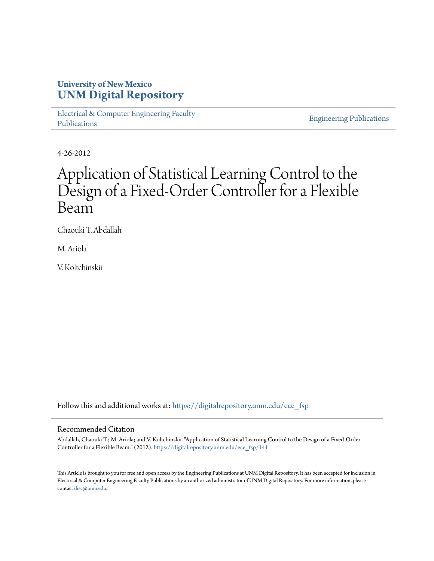### **University of New Mexico [UNM Digital Repository](https://digitalrepository.unm.edu?utm_source=digitalrepository.unm.edu%2Fece_fsp%2F141&utm_medium=PDF&utm_campaign=PDFCoverPages)**

[Electrical & Computer Engineering Faculty](https://digitalrepository.unm.edu/ece_fsp?utm_source=digitalrepository.unm.edu%2Fece_fsp%2F141&utm_medium=PDF&utm_campaign=PDFCoverPages) [Publications](https://digitalrepository.unm.edu/ece_fsp?utm_source=digitalrepository.unm.edu%2Fece_fsp%2F141&utm_medium=PDF&utm_campaign=PDFCoverPages)

[Engineering Publications](https://digitalrepository.unm.edu/eng_fsp?utm_source=digitalrepository.unm.edu%2Fece_fsp%2F141&utm_medium=PDF&utm_campaign=PDFCoverPages)

4-26-2012

## Application of Statistical Learning Control to the Design of a Fixed-Order Controller for a Flexible Beam

Chaouki T. Abdallah

M. Ariola

V. Koltchinskii

Follow this and additional works at: [https://digitalrepository.unm.edu/ece\\_fsp](https://digitalrepository.unm.edu/ece_fsp?utm_source=digitalrepository.unm.edu%2Fece_fsp%2F141&utm_medium=PDF&utm_campaign=PDFCoverPages)

#### Recommended Citation

Abdallah, Chaouki T.; M. Ariola; and V. Koltchinskii. "Application of Statistical Learning Control to the Design of a Fixed-Order Controller for a Flexible Beam." (2012). [https://digitalrepository.unm.edu/ece\\_fsp/141](https://digitalrepository.unm.edu/ece_fsp/141?utm_source=digitalrepository.unm.edu%2Fece_fsp%2F141&utm_medium=PDF&utm_campaign=PDFCoverPages)

This Article is brought to you for free and open access by the Engineering Publications at UNM Digital Repository. It has been accepted for inclusion in Electrical & Computer Engineering Faculty Publications by an authorized administrator of UNM Digital Repository. For more information, please contact [disc@unm.edu.](mailto:disc@unm.edu)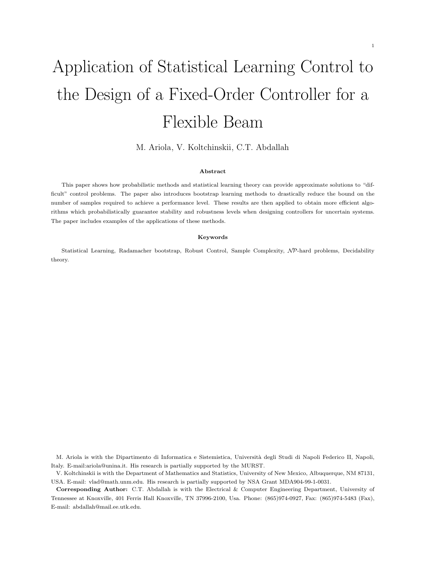# Application of Statistical Learning Control to the Design of a Fixed-Order Controller for a Flexible Beam

M. Ariola, V. Koltchinskii, C.T. Abdallah

#### Abstract

This paper shows how probabilistic methods and statistical learning theory can provide approximate solutions to "difficult" control problems. The paper also introduces bootstrap learning methods to drastically reduce the bound on the number of samples required to achieve a performance level. These results are then applied to obtain more efficient algorithms which probabilistically guarantee stability and robustness levels when designing controllers for uncertain systems. The paper includes examples of the applications of these methods.

#### Keywords

Statistical Learning, Radamacher bootstrap, Robust Control, Sample Complexity, NP-hard problems, Decidability theory.

M. Ariola is with the Dipartimento di Informatica e Sistemistica, Università degli Studi di Napoli Federico II, Napoli, Italy. E-mail:ariola@unina.it. His research is partially supported by the MURST.

V. Koltchinskii is with the Department of Mathematics and Statistics, University of New Mexico, Albuquerque, NM 87131, USA. E-mail: vlad@math.unm.edu. His research is partially supported by NSA Grant MDA904-99-1-0031.

Corresponding Author: C.T. Abdallah is with the Electrical & Computer Engineering Department, University of Tennessee at Knoxville, 401 Ferris Hall Knoxville, TN 37996-2100, Usa. Phone: (865)974-0927, Fax: (865)974-5483 (Fax), E-mail: abdallah@mail.ee.utk.edu.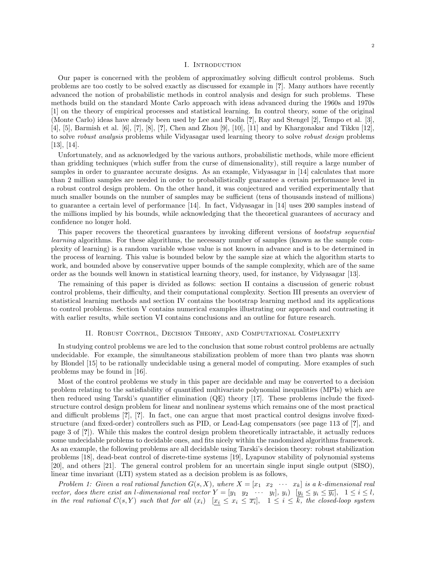#### I. INTRODUCTION

Our paper is concerned with the problem of approximatley solving difficult control problems. Such problems are too costly to be solved exactly as discussed for example in [?]. Many authors have recently advanced the notion of probabilistic methods in control analysis and design for such problems. These methods build on the standard Monte Carlo approach with ideas advanced during the 1960s and 1970s [1] on the theory of empirical processes and statistical learning. In control theory, some of the original (Monte Carlo) ideas have already been used by Lee and Poolla [?], Ray and Stengel [2], Tempo et al. [3], [4], [5], Barmish et al. [6], [7], [8], [?], Chen and Zhou [9], [10], [11] and by Khargonakar and Tikku [12], to solve robust analysis problems while Vidyasagar used learning theory to solve robust design problems [13], [14].

Unfortunately, and as acknowledged by the various authors, probabilistic methods, while more efficient than gridding techniques (which suffer from the curse of dimensionality), still require a large number of samples in order to guarantee accurate designs. As an example, Vidyasagar in [14] calculates that more than 2 million samples are needed in order to probabilistically guarantee a certain performance level in a robust control design problem. On the other hand, it was conjectured and verified experimentally that much smaller bounds on the number of samples may be sufficient (tens of thousands instead of millions) to guarantee a certain level of performance [14]. In fact, Vidyasagar in [14] uses 200 samples instead of the millions implied by his bounds, while acknowledging that the theoretical guarantees of accuracy and confidence no longer hold.

This paper recovers the theoretical guarantees by invoking different versions of bootstrap sequential learning algorithms. For these algorithms, the necessary number of samples (known as the sample complexity of learning) is a random variable whose value is not known in advance and is to be determined in the process of learning. This value is bounded below by the sample size at which the algorithm starts to work, and bounded above by conservative upper bounds of the sample complexity, which are of the same order as the bounds well known in statistical learning theory, used, for instance, by Vidyasagar [13].

The remaining of this paper is divided as follows: section II contains a discussion of generic robust control problems, their difficulty, and their computational complexity. Section III presents an overview of statistical learning methods and section IV contains the bootstrap learning method and its applications to control problems. Section V contains numerical examples illustrating our approach and contrasting it with earlier results, while section VI contains conclusions and an outline for future research.

#### II. Robust Control, Decision Theory, and Computational Complexity

In studying control problems we are led to the conclusion that some robust control problems are actually undecidable. For example, the simultaneous stabilization problem of more than two plants was shown by Blondel [15] to be rationally undecidable using a general model of computing. More examples of such problems may be found in [16].

Most of the control problems we study in this paper are decidable and may be converted to a decision problem relating to the satisfiability of quantified multivariate polynomial inequalities (MPIs) which are then reduced using Tarski's quantifier elimination (QE) theory [17]. These problems include the fixedstructure control design problem for linear and nonlinear systems which remains one of the most practical and difficult problems [?], [?]. In fact, one can argue that most practical control designs involve fixedstructure (and fixed-order) controllers such as PID, or Lead-Lag compensators (see page 113 of [?], and page 3 of [?]). While this makes the control design problem theoretically intractable, it actually reduces some undecidable problems to decidable ones, and fits nicely within the randomized algorithms framework. As an example, the following problems are all decidable using Tarski's decision theory: robust stabilization problems [18], dead-beat control of discrete-time systems [19], Lyapunov stability of polynomial systems [20], and others [21]. The general control problem for an uncertain single input single output (SISO), linear time invariant (LTI) system stated as a decision problem is as follows,

Problem 1: Given a real rational function  $G(s, X)$ , where  $X = \begin{bmatrix} x_1 & x_2 & \cdots & x_k \end{bmatrix}$  is a k-dimensional real vector, does there exist an *l*-dimensional real vector  $Y = [y_1 \ y_2 \ \cdots \ y_l], y_i)$   $[y_i \le y_i \le \overline{y_i}], 1 \le i \le l$ , in the real rational  $C(s,Y)$  such that for all  $(x_i)$   $[x_i \leq x_i \leq \overline{x_i}], 1 \leq i \leq k$ , the closed-loop system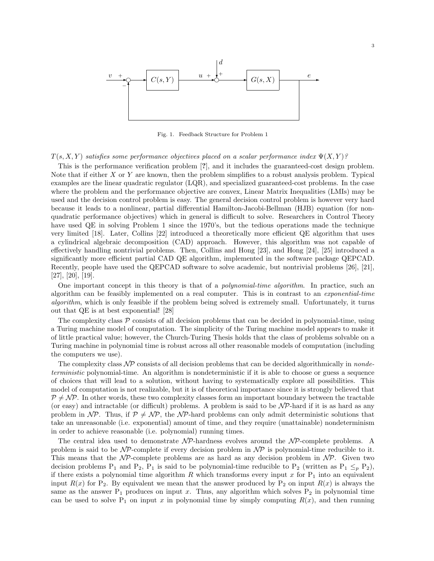

Fig. 1. Feedback Structure for Problem 1

 $T(s, X, Y)$  satisfies some performance objectives placed on a scalar performance index  $\Psi(X, Y)$ ?

This is the performance verification problem [?], and it includes the guaranteed-cost design problem. Note that if either  $X$  or  $Y$  are known, then the problem simplifies to a robust analysis problem. Typical examples are the linear quadratic regulator (LQR), and specialized guaranteed-cost problems. In the case where the problem and the performance objective are convex, Linear Matrix Inequalities (LMIs) may be used and the decision control problem is easy. The general decision control problem is however very hard because it leads to a nonlinear, partial differential Hamilton-Jacobi-Bellman (HJB) equation (for nonquadratic performance objectives) which in general is difficult to solve. Researchers in Control Theory have used QE in solving Problem 1 since the 1970's, but the tedious operations made the technique very limited [18]. Later, Collins [22] introduced a theoretically more efficient QE algorithm that uses a cylindrical algebraic decomposition (CAD) approach. However, this algorithm was not capable of effectively handling nontrivial problems. Then, Collins and Hong [23], and Hong [24], [25] introduced a significantly more efficient partial CAD QE algorithm, implemented in the software package QEPCAD. Recently, people have used the QEPCAD software to solve academic, but nontrivial problems [26], [21], [27], [20], [19].

One important concept in this theory is that of a *polynomial-time algorithm*. In practice, such an algorithm can be feasibly implemented on a real computer. This is in contrast to an exponential-time algorithm, which is only feasible if the problem being solved is extremely small. Unfortunately, it turns out that QE is at best exponential! [28]

The complexity class  $P$  consists of all decision problems that can be decided in polynomial-time, using a Turing machine model of computation. The simplicity of the Turing machine model appears to make it of little practical value; however, the Church-Turing Thesis holds that the class of problems solvable on a Turing machine in polynomial time is robust across all other reasonable models of computation (including the computers we use).

The complexity class  $\mathcal{NP}$  consists of all decision problems that can be decided algorithmically in *nonde*terministic polynomial-time. An algorithm is nondeterministic if it is able to choose or guess a sequence of choices that will lead to a solution, without having to systematically explore all possibilities. This model of computation is not realizable, but it is of theoretical importance since it is strongly believed that  $P \neq NP$ . In other words, these two complexity classes form an important boundary between the tractable (or easy) and intractable (or difficult) problems. A problem is said to be  $N\mathcal{P}$ -hard if it is as hard as any problem in  $\mathcal{NP}$ . Thus, if  $\mathcal{P} \neq \mathcal{NP}$ , the  $\mathcal{NP}$ -hard problems can only admit deterministic solutions that take an unreasonable (i.e. exponential) amount of time, and they require (unattainable) nondeterminism in order to achieve reasonable (i.e. polynomial) running times.

The central idea used to demonstrate  $N\mathcal{P}$ -hardness evolves around the  $N\mathcal{P}$ -complete problems. A problem is said to be  $N\mathcal{P}$ -complete if every decision problem in  $N\mathcal{P}$  is polynomial-time reducible to it. This means that the  $N\mathcal{P}$ -complete problems are as hard as any decision problem in  $N\mathcal{P}$ . Given two decision problems  $P_1$  and  $P_2$ ,  $P_1$  is said to be polynomial-time reducible to  $P_2$  (written as  $P_1 \leq_p P_2$ ), if there exists a polynomial time algorithm R which transforms every input x for  $P_1$  into an equivalent input  $R(x)$  for P<sub>2</sub>. By equivalent we mean that the answer produced by P<sub>2</sub> on input  $R(x)$  is always the same as the answer  $P_1$  produces on input x. Thus, any algorithm which solves  $P_2$  in polynomial time can be used to solve  $P_1$  on input x in polynomial time by simply computing  $R(x)$ , and then running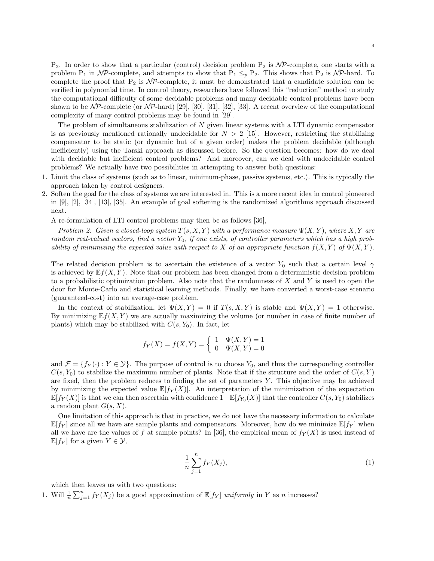$P_2$ . In order to show that a particular (control) decision problem  $P_2$  is  $N\mathcal{P}$ -complete, one starts with a problem P<sub>1</sub> in NP-complete, and attempts to show that P<sub>1</sub>  $\leq_p$  P<sub>2</sub>. This shows that P<sub>2</sub> is NP-hard. To complete the proof that  $P_2$  is  $N\mathcal{P}$ -complete, it must be demonstrated that a candidate solution can be verified in polynomial time. In control theory, researchers have followed this "reduction" method to study the computational difficulty of some decidable problems and many decidable control problems have been shown to be  $N\mathcal{P}$ -complete (or  $N\mathcal{P}$ -hard) [29], [30], [31], [32], [33]. A recent overview of the computational complexity of many control problems may be found in [29].

The problem of simultaneous stabilization of  $N$  given linear systems with a LTI dynamic compensator is as previously mentioned rationally undecidable for  $N > 2$  [15]. However, restricting the stabilizing compensator to be static (or dynamic but of a given order) makes the problem decidable (although inefficiently) using the Tarski approach as discussed before. So the question becomes: how do we deal with decidable but inefficient control problems? And moreover, can we deal with undecidable control problems? We actually have two possibilities in attempting to answer both questions:

- 1. Limit the class of systems (such as to linear, minimum-phase, passive systems, etc.). This is typically the approach taken by control designers.
- 2. Soften the goal for the class of systems we are interested in. This is a more recent idea in control pioneered in [9], [2], [34], [13], [35]. An example of goal softening is the randomized algorithms approach discussed next.

A re-formulation of LTI control problems may then be as follows [36],

Problem 2: Given a closed-loop system  $T(s, X, Y)$  with a performance measure  $\Psi(X, Y)$ , where  $X, Y$  are random real-valued vectors, find a vector  $Y_0$ , if one exists, of controller parameters which has a high probability of minimizing the expected value with respect to X of an appropriate function  $f(X, Y)$  of  $\Psi(X, Y)$ .

The related decision problem is to ascertain the existence of a vector  $Y_0$  such that a certain level  $\gamma$ is achieved by  $E f(X, Y)$ . Note that our problem has been changed from a deterministic decision problem to a probabilistic optimization problem. Also note that the randomness of  $X$  and  $Y$  is used to open the door for Monte-Carlo and statistical learning methods. Finally, we have converted a worst-case scenario (guaranteed-cost) into an average-case problem.

In the context of stabilization, let  $\Psi(X, Y) = 0$  if  $T(s, X, Y)$  is stable and  $\Psi(X, Y) = 1$  otherwise. By minimizing  $E f(X, Y)$  we are actually maximizing the volume (or number in case of finite number of plants) which may be stabilized with  $C(s, Y_0)$ . In fact, let

$$
f_Y(X) = f(X, Y) = \begin{cases} 1 & \Psi(X, Y) = 1 \\ 0 & \Psi(X, Y) = 0 \end{cases}
$$

and  $\mathcal{F} = \{f_Y(\cdot): Y \in \mathcal{Y}\}\.$  The purpose of control is to choose  $Y_0$ , and thus the corresponding controller  $C(s, Y_0)$  to stabilize the maximum number of plants. Note that if the structure and the order of  $C(s, Y)$ are fixed, then the problem reduces to finding the set of parameters  $Y$ . This objective may be achieved by minimizing the expected value  $\mathbb{E}[f_Y(X)]$ . An interpretation of the minimization of the expectation  $\mathbb{E}[f_Y(X)]$  is that we can then ascertain with confidence  $1-\mathbb{E}[f_{Y_0}(X)]$  that the controller  $C(s,Y_0)$  stabilizes a random plant  $G(s, X)$ .

One limitation of this approach is that in practice, we do not have the necessary information to calculate  $\mathbb{E}[f_Y]$  since all we have are sample plants and compensators. Moreover, how do we minimize  $\mathbb{E}[f_Y]$  when all we have are the values of f at sample points? In [36], the empirical mean of  $f_Y(X)$  is used instead of  $\mathbb{E}[f_Y]$  for a given  $Y \in \mathcal{Y}$ ,

$$
\frac{1}{n} \sum_{j=1}^{n} f_Y(X_j),\tag{1}
$$

which then leaves us with two questions:

1. Will  $\frac{1}{n}$  $\sum_{j=1}^{n} f_Y(X_j)$  be a good approximation of  $\mathbb{E}[f_Y]$  uniformly in Y as n increases?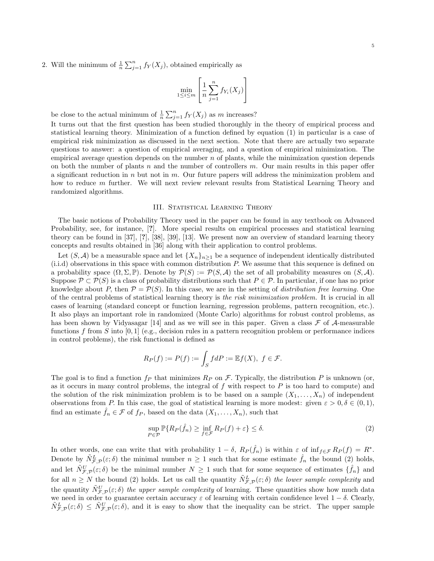2. Will the minimum of  $\frac{1}{n}$  $\sum_{j=1}^{n} f_Y(X_j)$ , obtained empirically as

$$
\min_{1 \le i \le m} \left[ \frac{1}{n} \sum_{j=1}^{n} f_{Y_i}(X_j) \right]
$$

be close to the actual minimum of  $\frac{1}{n}$  $\sum_{j=1}^{n} f_Y(X_j)$  as m increases?

It turns out that the first question has been studied thoroughly in the theory of empirical process and statistical learning theory. Minimization of a function defined by equation (1) in particular is a case of empirical risk minimization as discussed in the next section. Note that there are actually two separate questions to answer: a question of empirical averaging, and a question of empirical minimization. The empirical average question depends on the number  $n$  of plants, while the minimization question depends on both the number of plants n and the number of controllers  $m$ . Our main results in this paper offer a significant reduction in  $n$  but not in  $m$ . Our future papers will address the minimization problem and how to reduce m further. We will next review relevant results from Statistical Learning Theory and randomized algorithms.

#### III. STATISTICAL LEARNING THEORY

The basic notions of Probability Theory used in the paper can be found in any textbook on Advanced Probability, see, for instance, [?]. More special results on empirical processes and statistical learning theory can be found in [37], [?], [38], [39], [13]. We present now an overview of standard learning theory concepts and results obtained in [36] along with their application to control problems.

Let  $(S, \mathcal{A})$  be a measurable space and let  $\{X_n\}_{n>1}$  be a sequence of independent identically distributed (i.i.d) observations in this space with common distribution P. We assume that this sequence is defined on a probability space  $(\Omega, \Sigma, \mathbb{P})$ . Denote by  $\mathcal{P}(S) := \mathcal{P}(S, \mathcal{A})$  the set of all probability measures on  $(S, \mathcal{A})$ . Suppose  $\mathcal{P} \subset \mathcal{P}(S)$  is a class of probability distributions such that  $P \in \mathcal{P}$ . In particular, if one has no prior knowledge about P, then  $\mathcal{P} = \mathcal{P}(S)$ . In this case, we are in the setting of distribution free learning. One of the central problems of statistical learning theory is the risk minimization problem. It is crucial in all cases of learning (standard concept or function learning, regression problems, pattern recognition, etc.). It also plays an important role in randomized (Monte Carlo) algorithms for robust control problems, as has been shown by Vidyasagar [14] and as we will see in this paper. Given a class  $\mathcal F$  of  $\mathcal A$ -measurable functions f from S into  $[0, 1]$  (e.g., decision rules in a pattern recognition problem or performance indices in control problems), the risk functional is defined as

$$
R_P(f) := P(f) := \int_S f dP := \mathbb{E} f(X), \ f \in \mathcal{F}.
$$

The goal is to find a function  $f_P$  that minimizes  $R_P$  on  $\mathcal F$ . Typically, the distribution P is unknown (or, as it occurs in many control problems, the integral of  $f$  with respect to  $P$  is too hard to compute) and the solution of the risk minimization problem is to be based on a sample  $(X_1, \ldots, X_n)$  of independent observations from P. In this case, the goal of statistical learning is more modest: given  $\varepsilon > 0, \delta \in (0, 1)$ , find an estimate  $f_n \in \mathcal{F}$  of  $f_P$ , based on the data  $(X_1, \ldots, X_n)$ , such that

$$
\sup_{P \in \mathcal{P}} \mathbb{P}\{R_P(\hat{f}_n) \ge \inf_{f \in \mathcal{F}} R_P(f) + \varepsilon\} \le \delta. \tag{2}
$$

In other words, one can write that with probability  $1 - \delta$ ,  $R_P(\hat{f}_n)$  is within  $\varepsilon$  of inf $f \in \mathcal{F} R_P(f) = R^*$ . Denote by  $\tilde{N}_{\mathcal{F},\mathcal{P}}^L(\varepsilon;\delta)$  the minimal number  $n\geq 1$  such that for some estimate  $\hat{f}_n$  the bound (2) holds, and let  $\tilde{N}_{\mathcal{F},\mathcal{P}}^U(\varepsilon;\delta)$  be the minimal number  $N\geq 1$  such that for some sequence of estimates  $\{\hat{f}_n\}$  and for all  $n \geq N$  the bound (2) holds. Let us call the quantity  $\tilde{N}_{\mathcal{F},\mathcal{P}}^L(\varepsilon;\delta)$  the lower sample complexity and the quantity  $\tilde{N}_{\mathcal{F},\mathcal{P}}^U(\varepsilon;\delta)$  the upper sample complexity of learning. These quantities show how much data we need in order to guarantee certain accuracy  $\varepsilon$  of learning with certain confidence level  $1 - \delta$ . Clearly,  $\tilde{N}^L_{\mathcal{F},\mathcal{P}}(\varepsilon;\delta) \leq \tilde{N}^U_{\mathcal{F},\mathcal{P}}(\varepsilon;\delta)$ , and it is easy to show that the inequality can be strict. The upper sample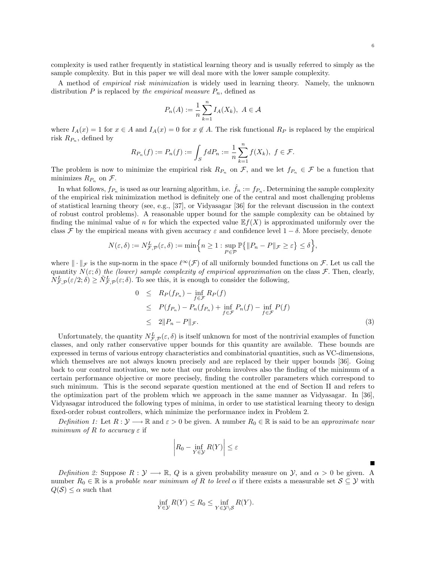complexity is used rather frequently in statistical learning theory and is usually referred to simply as the sample complexity. But in this paper we will deal more with the lower sample complexity.

A method of empirical risk minimization is widely used in learning theory. Namely, the unknown distribution P is replaced by the empirical measure  $P_n$ , defined as

$$
P_n(A) := \frac{1}{n} \sum_{k=1}^n I_A(X_k), \ A \in \mathcal{A}
$$

where  $I_A(x) = 1$  for  $x \in A$  and  $I_A(x) = 0$  for  $x \notin A$ . The risk functional  $R_P$  is replaced by the empirical risk  $R_{P_n}$ , defined by

$$
R_{P_n}(f) := P_n(f) := \int_S f dP_n := \frac{1}{n} \sum_{k=1}^n f(X_k), \ f \in \mathcal{F}.
$$

The problem is now to minimize the empirical risk  $R_{P_n}$  on  $\mathcal{F}$ , and we let  $f_{P_n} \in \mathcal{F}$  be a function that minimizes  $R_{P_n}$  on  $\mathcal{F}.$ 

In what follows,  $f_{P_n}$  is used as our learning algorithm, i.e.  $\hat{f}_n := f_{P_n}$ . Determining the sample complexity of the empirical risk minimization method is definitely one of the central and most challenging problems of statistical learning theory (see, e.g., [37], or Vidyasagar [36] for the relevant discussion in the context of robust control problems). A reasonable upper bound for the sample complexity can be obtained by finding the minimal value of n for which the expected value  $E f(X)$  is approximated uniformly over the class F by the empirical means with given accuracy  $\varepsilon$  and confidence level  $1 - \delta$ . More precisely, denote

$$
N(\varepsilon,\delta):=N^L_{\mathcal{F},\mathcal{P}}(\varepsilon,\delta):=\min\Bigl\{n\geq 1: \sup_{P\in\mathcal{P}}\mathbb{P}\bigl\{\|P_n-P\|_{\mathcal{F}}\geq \varepsilon\bigr\}\leq \delta\Bigr\},
$$

where  $\|\cdot\|_{\mathcal{F}}$  is the sup-norm in the space  $\ell^{\infty}(\mathcal{F})$  of all uniformly bounded functions on  $\mathcal{F}$ . Let us call the quantity  $N(\varepsilon;\delta)$  the (lower) sample complexity of empirical approximation on the class F. Then, clearly,  $N_{\mathcal{F},\mathcal{P}}^L(\varepsilon/2;\delta) \geq \tilde{N}_{\mathcal{F},\mathcal{P}}^L(\varepsilon;\delta)$ . To see this, it is enough to consider the following,

$$
0 \leq R_P(f_{P_n}) - \inf_{f \in \mathcal{F}} R_P(f)
$$
  
\n
$$
\leq P(f_{P_n}) - P_n(f_{P_n}) + \inf_{f \in \mathcal{F}} P_n(f) - \inf_{f \in \mathcal{F}} P(f)
$$
  
\n
$$
\leq 2||P_n - P||_{\mathcal{F}}.
$$
\n(3)

Unfortunately, the quantity  $N_{\mathcal{F},\mathcal{P}}^L(\varepsilon,\delta)$  is itself unknown for most of the nontrivial examples of function classes, and only rather conservative upper bounds for this quantity are available. These bounds are expressed in terms of various entropy characteristics and combinatorial quantities, such as VC-dimensions, which themselves are not always known precisely and are replaced by their upper bounds [36]. Going back to our control motivation, we note that our problem involves also the finding of the minimum of a certain performance objective or more precisely, finding the controller parameters which correspond to such minimum. This is the second separate question mentioned at the end of Section II and refers to the optimization part of the problem which we approach in the same manner as Vidyasagar. In [36], Vidyasagar introduced the following types of minima, in order to use statistical learning theory to design fixed-order robust controllers, which minimize the performance index in Problem 2.

Definition 1: Let  $R : \mathcal{Y} \longrightarrow \mathbb{R}$  and  $\varepsilon > 0$  be given. A number  $R_0 \in \mathbb{R}$  is said to be an approximate near minimum of R to accuracy  $\varepsilon$  if  $\overline{a}$  $\overline{a}$ 

$$
\left|R_0 - \inf_{Y \in \mathcal{Y}} R(Y)\right| \le \varepsilon
$$

Definition 2: Suppose  $R : \mathcal{Y} \longrightarrow \mathbb{R}$ , Q is a given probability measure on  $\mathcal{Y}$ , and  $\alpha > 0$  be given. A number  $R_0 \in \mathbb{R}$  is a probable near minimum of R to level  $\alpha$  if there exists a measurable set  $S \subseteq \mathcal{Y}$  with  $Q(S) \leq \alpha$  such that

$$
\inf_{Y \in \mathcal{Y}} R(Y) \le R_0 \le \inf_{Y \in \mathcal{Y} \setminus \mathcal{S}} R(Y).
$$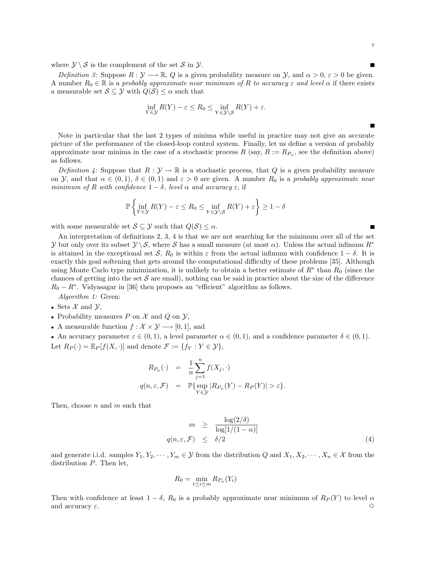where  $\mathcal{Y} \setminus \mathcal{S}$  is the complement of the set  $\mathcal{S}$  in  $\mathcal{Y}$ .

Definition 3: Suppose  $R: \mathcal{Y} \longrightarrow \mathbb{R}$ , Q is a given probability measure on  $\mathcal{Y}$ , and  $\alpha > 0$ ,  $\varepsilon > 0$  be given. A number  $R_0 \in \mathbb{R}$  is a probably approximate near minimum of R to accuracy  $\varepsilon$  and level  $\alpha$  if there exists a measurable set  $S \subseteq \mathcal{Y}$  with  $Q(S) \leq \alpha$  such that

$$
\inf_{Y \in \mathcal{Y}} R(Y) - \varepsilon \le R_0 \le \inf_{Y \in \mathcal{Y} \setminus \mathcal{S}} R(Y) + \varepsilon.
$$

Note in particular that the last 2 types of minima while useful in practice may not give an accurate picture of the performance of the closed-loop control system. Finally, let us define a version of probably approximate near minima in the case of a stochastic process  $R$  (say,  $R := R_{P_n}$ , see the definition above) as follows.

Definition 4: Suppose that  $R : \mathcal{Y} \to \mathbb{R}$  is a stochastic process, that Q is a given probability measure on Y, and that  $\alpha \in (0,1)$ ,  $\delta \in (0,1)$  and  $\varepsilon > 0$  are given. A number  $R_0$  is a probably approximate near minimum of R with confidence  $1 - \delta$ , level  $\alpha$  and accuracy  $\varepsilon$ , if

 $\mathbf{A}$ 

$$
\mathbb{P}\left\{\inf_{Y\in\mathcal{Y}} R(Y) - \varepsilon \le R_0 \le \inf_{Y\in\mathcal{Y}\setminus\mathcal{S}} R(Y) + \varepsilon\right\} \ge 1 - \delta
$$

with some measurable set  $S \subseteq \mathcal{Y}$  such that  $Q(S) \leq \alpha$ .

½

An interpretation of definitions 2, 3, 4 is that we are not searching for the minimum over all of the set y but only over its subset  $\mathcal{Y}\setminus\mathcal{S}$ , where S has a small measure (at most  $\alpha$ ). Unless the actual infimum  $R^*$ is attained in the exceptional set S,  $R_0$  is within  $\varepsilon$  from the actual infimum with confidence  $1 - \delta$ . It is exactly this goal softening that gets around the computational difficulty of these problems [35]. Although using Monte Carlo type minimization, it is unlikely to obtain a better estimate of  $R^*$  than  $R_0$  (since the chances of getting into the set  $S$  are small), nothing can be said in practice about the size of the difference  $R_0 - R^*$ . Vidyasagar in [36] then proposes an "efficient" algorithm as follows.

Algorithm 1: Given:

- Sets  $\mathcal X$  and  $\mathcal Y$ ,
- Probability measures P on X and Q on  $\mathcal{Y}$ ,
- A measurable function  $f: \mathcal{X} \times \mathcal{Y} \longrightarrow [0, 1]$ , and

• An accuracy parameter  $\varepsilon \in (0, 1)$ , a level parameter  $\alpha \in (0, 1)$ , and a confidence parameter  $\delta \in (0, 1)$ . Let  $R_P(\cdot) = \mathbb{E}_P[f(X, \cdot)]$  and denote  $\mathcal{F} := \{f_Y : Y \in \mathcal{Y}\},\$ 

$$
R_{P_n}(\cdot) = \frac{1}{n} \sum_{j=1}^n f(X_j, \cdot)
$$
  

$$
q(n, \varepsilon, \mathcal{F}) = \mathbb{P}\{\sup_{Y \in \mathcal{Y}} |R_{P_n}(Y) - R_P(Y)| > \varepsilon\}.
$$

Then, choose  $n$  and  $m$  such that

$$
m \geq \frac{\log(2/\delta)}{\log[1/(1-\alpha)]}
$$
  
 
$$
q(n,\varepsilon,\mathcal{F}) \leq \delta/2
$$
 (4)

and generate i.i.d. samples  $Y_1, Y_2, \cdots, Y_m \in \mathcal{Y}$  from the distribution Q and  $X_1, X_2, \cdots, X_n \in \mathcal{X}$  from the distribution  $P$ . Then let,

$$
R_0 = \min_{1 \le i \le m} R_{P_n}(Y_i)
$$

Then with confidence at least  $1 - \delta$ ,  $R_0$  is a probably approximate near minimum of  $R_P(Y)$  to level  $\alpha$ and accuracy  $\varepsilon$ .

7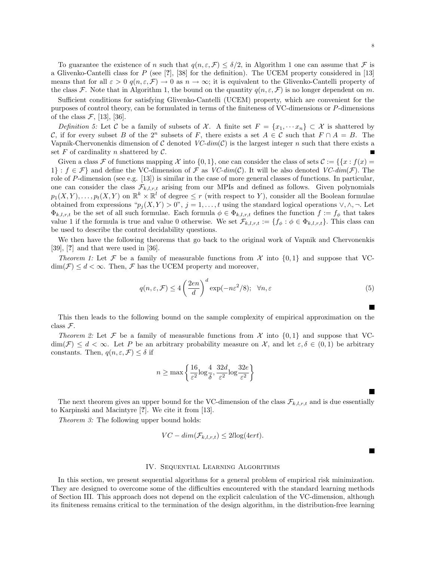To guarantee the existence of n such that  $q(n, \varepsilon, \mathcal{F}) \leq \delta/2$ , in Algorithm 1 one can assume that  $\mathcal F$  is a Glivenko-Cantelli class for P (see  $[?]$ ,  $[38]$  for the definition). The UCEM property considered in  $[13]$ means that for all  $\varepsilon > 0$   $q(n, \varepsilon, \mathcal{F}) \to 0$  as  $n \to \infty$ ; it is equivalent to the Glivenko-Cantelli property of the class F. Note that in Algorithm 1, the bound on the quantity  $q(n, \varepsilon, \mathcal{F})$  is no longer dependent on m.

Sufficient conditions for satisfying Glivenko-Cantelli (UCEM) property, which are convenient for the purposes of control theory, can be formulated in terms of the finiteness of VC-dimensions or P-dimensions of the class  $\mathcal{F}$ , [13], [36].

Definition 5: Let C be a family of subsets of X. A finite set  $F = \{x_1, \dots, x_n\} \subset \mathcal{X}$  is shattered by C, if for every subset B of the  $2^n$  subsets of F, there exists a set  $A \in \mathcal{C}$  such that  $F \cap A = B$ . The Vapnik-Chervonenkis dimension of C denoted  $VC\text{-}dim(\mathcal{C})$  is the largest integer n such that there exists a set  $F$  of cardinality  $n$  shattered by  $C$ .

Given a class F of functions mapping X into  $\{0,1\}$ , one can consider the class of sets  $\mathcal{C} := \{\{x : f(x) = x\}$ 1} :  $f \in \mathcal{F}$  and define the VC-dimension of  $\mathcal F$  as VC-dim(C). It will be also denoted VC-dim( $\mathcal F$ ). The role of P-dimension (see e.g. [13]) is similar in the case of more general classes of functions. In particular, one can consider the class  $\mathcal{F}_{k,l,r,t}$  arising from our MPIs and defined as follows. Given polynomials  $p_1(X, Y), \ldots, p_t(X, Y)$  on  $\mathbb{R}^k \times \mathbb{R}^l$  of degree  $\leq r$  (with respect to Y), consider all the Boolean formulae obtained from expressions " $p_j(X, Y) > 0$ ",  $j = 1, ..., t$  using the standard logical operations  $\vee, \wedge, \neg$ . Let  $\Phi_{k,l,r,t}$  be the set of all such formulae. Each formula  $\phi \in \Phi_{k,l,r,t}$  defines the function  $f := f_{\phi}$  that takes value 1 if the formula is true and value 0 otherwise. We set  $\mathcal{F}_{k,l,r,t} := \{f_{\phi} : \phi \in \Phi_{k,l,r,t}\}.$  This class can be used to describe the control decidability questions.

We then have the following theorems that go back to the original work of Vapnik and Chervonenkis [39], [?] and that were used in [36].

Theorem 1: Let F be a family of measurable functions from  $\mathcal X$  into  $\{0,1\}$  and suppose that VC- $\dim(\mathcal{F}) \leq d < \infty$ . Then,  $\mathcal F$  has the UCEM property and moreover,

$$
q(n,\varepsilon,\mathcal{F}) \le 4\left(\frac{2en}{d}\right)^d \exp(-n\varepsilon^2/8); \quad \forall n,\varepsilon
$$
 (5)

This then leads to the following bound on the sample complexity of empirical approximation on the class F.

Theorem 2: Let F be a family of measurable functions from  $\mathcal X$  into  $\{0,1\}$  and suppose that VC- $\dim(\mathcal{F}) \leq d < \infty$ . Let P be an arbitrary probability measure on X, and let  $\varepsilon, \delta \in (0,1)$  be arbitrary constants. Then,  $q(n, \varepsilon, \mathcal{F}) \leq \delta$  if

$$
n \ge \max\left\{\frac{16}{\varepsilon^2} \log\frac{4}{\delta}, \frac{32d}{\varepsilon^2} \log\frac{32e}{\varepsilon^2}\right\}
$$

The next theorem gives an upper bound for the VC-dimension of the class  $\mathcal{F}_{k,l,r,t}$  and is due essentially to Karpinski and Macintyre [?]. We cite it from [13].

Theorem 3: The following upper bound holds:

$$
VC-dim(\mathcal{F}_{k,l,r,t}) \leq 2l\log(4ert).
$$

#### IV. Sequential Learning Algorithms

In this section, we present sequential algorithms for a general problem of empirical risk minimization. They are designed to overcome some of the difficulties encountered with the standard learning methods of Section III. This approach does not depend on the explicit calculation of the VC-dimension, although its finiteness remains critical to the termination of the design algorithm, in the distribution-free learning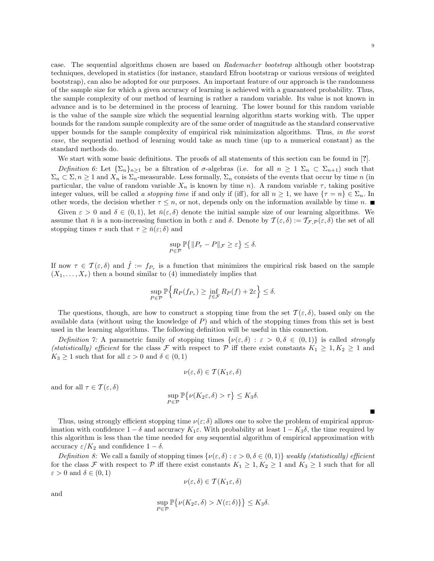case. The sequential algorithms chosen are based on Rademacher bootstrap although other bootstrap techniques, developed in statistics (for instance, standard Efron bootstrap or various versions of weighted bootstrap), can also be adopted for our purposes. An important feature of our approach is the randomness of the sample size for which a given accuracy of learning is achieved with a guaranteed probability. Thus, the sample complexity of our method of learning is rather a random variable. Its value is not known in advance and is to be determined in the process of learning. The lower bound for this random variable is the value of the sample size which the sequential learning algorithm starts working with. The upper bounds for the random sample complexity are of the same order of magnitude as the standard conservative upper bounds for the sample complexity of empirical risk minimization algorithms. Thus, in the worst case, the sequential method of learning would take as much time (up to a numerical constant) as the standard methods do.

We start with some basic definitions. The proofs of all statements of this section can be found in [?].

Definition 6: Let  $\{\Sigma_n\}_{n>1}$  be a filtration of  $\sigma$ -algebras (i.e. for all  $n \geq 1$   $\Sigma_n \subset \Sigma_{n+1}$ ) such that  $\Sigma_n \subset \Sigma$ ,  $n \geq 1$  and  $X_n$  is  $\Sigma_n$ -measurable. Less formally,  $\Sigma_n$  consists of the events that occur by time n (in particular, the value of random variable  $X_n$  is known by time n). A random variable  $\tau$ , taking positive integer values, will be called a stopping time if and only if (iff), for all  $n \geq 1$ , we have  $\{\tau = n\} \in \Sigma_n$ . In other words, the decision whether  $\tau \leq n$ , or not, depends only on the information available by time n.

Given  $\varepsilon > 0$  and  $\delta \in (0,1)$ , let  $\bar{n}(\varepsilon,\delta)$  denote the initial sample size of our learning algorithms. We assume that  $\bar{n}$  is a non-increasing function in both  $\varepsilon$  and  $\delta$ . Denote by  $\mathcal{T}(\varepsilon,\delta) := \mathcal{T}_{\mathcal{F},\mathcal{P}}(\varepsilon,\delta)$  the set of all stopping times  $\tau$  such that  $\tau \geq \bar{n}(\varepsilon;\delta)$  and

$$
\sup_{P \in \mathcal{P}} \mathbb{P}\big\{\|P_\tau - P\|_{\mathcal{F}} \ge \varepsilon\big\} \le \delta.
$$

If now  $\tau \in \mathcal{T}(\varepsilon,\delta)$  and  $\hat{f} := f_{P_{\tau}}$  is a function that minimizes the empirical risk based on the sample  $(X_1, \ldots, X_{\tau})$  then a bound similar to (4) immediately implies that

$$
\sup_{P \in \mathcal{P}} \mathbb{P} \Big\{ R_P(f_{P_\tau}) \ge \inf_{f \in \mathcal{F}} R_P(f) + 2\varepsilon \Big\} \le \delta.
$$

The questions, though, are how to construct a stopping time from the set  $\mathcal{T}(\varepsilon,\delta)$ , based only on the available data (without using the knowledge of  $P$ ) and which of the stopping times from this set is best used in the learning algorithms. The following definition will be useful in this connection.

Definition 7: A parametric family of stopping times  $\{\nu(\varepsilon,\delta) : \varepsilon > 0, \delta \in (0,1)\}\$ is called strongly (statistically) efficient for the class F with respect to P iff there exist constants  $K_1 \geq 1, K_2 \geq 1$  and  $K_3 \geq 1$  such that for all  $\varepsilon > 0$  and  $\delta \in (0,1)$ 

$$
\nu(\varepsilon,\delta) \in \mathcal{T}(K_1\varepsilon,\delta)
$$

and for all  $\tau \in \mathcal{T}(\varepsilon,\delta)$ 

$$
\sup_{P \in \mathcal{P}} \mathbb{P}\big\{\nu(K_2\varepsilon,\delta) > \tau\big\} \le K_3\delta.
$$

Thus, using strongly efficient stopping time  $\nu(\varepsilon;\delta)$  allows one to solve the problem of empirical approximation with confidence  $1 - \delta$  and accuracy  $K_1 \varepsilon$ . With probability at least  $1 - K_3 \delta$ , the time required by this algorithm is less than the time needed for any sequential algorithm of empirical approximation with accuracy  $\varepsilon/K_2$  and confidence  $1-\delta$ .

Definition 8: We call a family of stopping times  $\{\nu(\varepsilon,\delta): \varepsilon > 0, \delta \in (0,1)\}\$  weakly (statistically) efficient for the class F with respect to P iff there exist constants  $K_1 \geq 1, K_2 \geq 1$  and  $K_3 \geq 1$  such that for all  $\varepsilon > 0$  and  $\delta \in (0,1)$ 

$$
\nu(\varepsilon,\delta) \in \mathcal{T}(K_1\varepsilon,\delta)
$$

and

$$
\sup_{P \in \mathcal{P}} \mathbb{P} \big\{ \nu(K_2 \varepsilon, \delta) > N(\varepsilon; \delta) \} \big\} \le K_3 \delta.
$$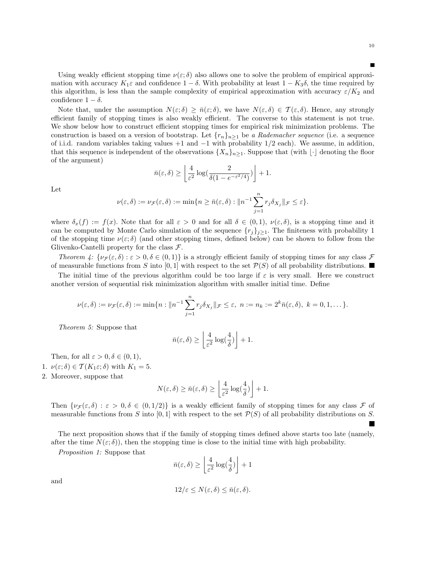Using weakly efficient stopping time  $\nu(\varepsilon;\delta)$  also allows one to solve the problem of empirical approximation with accuracy  $K_1\varepsilon$  and confidence  $1-\delta$ . With probability at least  $1-K_3\delta$ , the time required by this algorithm, is less than the sample complexity of empirical approximation with accuracy  $\varepsilon/K_2$  and confidence  $1 - \delta$ .

Note that, under the assumption  $N(\varepsilon;\delta) > \bar{n}(\varepsilon;\delta)$ , we have  $N(\varepsilon,\delta) \in \mathcal{T}(\varepsilon,\delta)$ . Hence, any strongly efficient family of stopping times is also weakly efficient. The converse to this statement is not true. We show below how to construct efficient stopping times for empirical risk minimization problems. The construction is based on a version of bootstrap. Let  $\{r_n\}_{n\geq 1}$  be a Rademacher sequence (i.e. a sequence of i.i.d. random variables taking values  $+1$  and  $-1$  with probability  $1/2$  each). We assume, in addition, that this sequence is independent of the observations  $\{X_n\}_{n\geq 1}$ . Suppose that (with  $\lfloor \cdot \rfloor$  denoting the floor of the argument) l. º

$$
\bar{n}(\varepsilon,\delta) \ge \left\lfloor \frac{4}{\varepsilon^2} \log \left( \frac{2}{\delta(1 - e^{-\varepsilon^2/4})} \right) \right\rfloor + 1.
$$

Let

$$
\nu(\varepsilon,\delta) := \nu_{\mathcal{F}}(\varepsilon,\delta) := \min\{n \geq \bar{n}(\varepsilon,\delta) : \|n^{-1}\sum_{j=1}^n r_j \delta_{X_j}\|_{\mathcal{F}} \leq \varepsilon\}.
$$

where  $\delta_x(f) := f(x)$ . Note that for all  $\varepsilon > 0$  and for all  $\delta \in (0,1)$ ,  $\nu(\varepsilon,\delta)$ , is a stopping time and it can be computed by Monte Carlo simulation of the sequence  $\{r_j\}_{j\geq 1}$ . The finiteness with probability 1 of the stopping time  $\nu(\varepsilon;\delta)$  (and other stopping times, defined below) can be shown to follow from the Glivenko-Cantelli property for the class  $\mathcal{F}$ .

Theorem  $\psi: {\{\nu_{\mathcal{F}}(\varepsilon,\delta): \varepsilon > 0, \delta \in (0,1)\}}$  is a strongly efficient family of stopping times for any class  $\mathcal{F}$ of measurable functions from S into [0, 1] with respect to the set  $\mathcal{P}(S)$  of all probability distributions.

The initial time of the previous algorithm could be too large if  $\varepsilon$  is very small. Here we construct another version of sequential risk minimization algorithm with smaller initial time. Define

$$
\nu(\varepsilon,\delta):=\nu_{\mathcal{F}}(\varepsilon,\delta):=\min\{n:\|n^{-1}\sum_{j=1}^nr_j\delta_{X_j}\|_{\mathcal{F}}\leq\varepsilon,\ n:=n_k:=2^k\bar{n}(\varepsilon,\delta),\ k=0,1,\ldots\}.
$$

Theorem 5: Suppose that

$$
\bar{n}(\varepsilon,\delta) \ge \left\lfloor \frac{4}{\varepsilon^2} \log(\frac{4}{\delta}) \right\rfloor + 1.
$$

Then, for all  $\varepsilon > 0, \delta \in (0, 1)$ ,

- 1.  $\nu(\varepsilon;\delta) \in \mathcal{T}(K_1\varepsilon;\delta)$  with  $K_1 = 5$ .
- 2. Moreover, suppose that

$$
N(\varepsilon,\delta) \ge \bar{n}(\varepsilon,\delta) \ge \left\lfloor \frac{4}{\varepsilon^2} \log(\frac{4}{\delta}) \right\rfloor + 1.
$$

Then  $\{\nu_{\mathcal{F}}(\varepsilon,\delta) : \varepsilon > 0, \delta \in (0,1/2)\}\$ is a weakly efficient family of stopping times for any class  $\mathcal F$  of measurable functions from S into  $[0, 1]$  with respect to the set  $\mathcal{P}(S)$  of all probability distributions on S.

The next proposition shows that if the family of stopping times defined above starts too late (namely, after the time  $N(\varepsilon, \delta)$ , then the stopping time is close to the initial time with high probability.

Proposition 1: Suppose that

$$
\bar{n}(\varepsilon,\delta) \ge \left\lfloor \frac{4}{\varepsilon^2} \log(\frac{4}{\delta}) \right\rfloor + 1
$$

and

$$
12/\varepsilon \le N(\varepsilon,\delta) \le \bar{n}(\varepsilon,\delta).
$$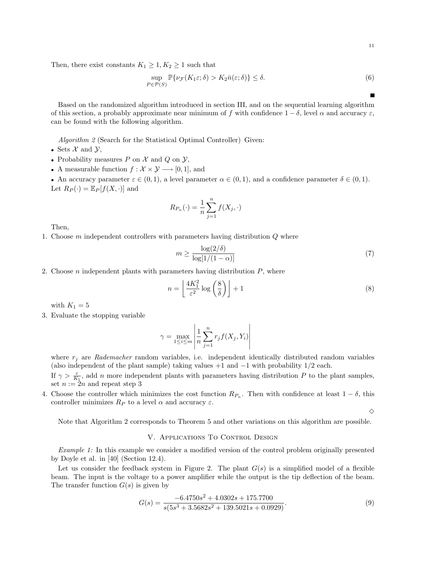$$
\sup_{P \in \mathcal{P}(S)} \mathbb{P}\{\nu_{\mathcal{F}}(K_1 \varepsilon; \delta) > K_2 \bar{n}(\varepsilon; \delta)\} \le \delta. \tag{6}
$$

Based on the randomized algorithm introduced in section III, and on the sequential learning algorithm of this section, a probably approximate near minimum of f with confidence  $1 - \delta$ , level  $\alpha$  and accuracy  $\varepsilon$ , can be found with the following algorithm.

Algorithm 2 (Search for the Statistical Optimal Controller) Given:

- Sets  $\mathcal X$  and  $\mathcal Y$ ,
- Probability measures  $P$  on  $\mathcal X$  and  $Q$  on  $\mathcal Y$ ,
- A measurable function  $f: \mathcal{X} \times \mathcal{Y} \longrightarrow [0, 1]$ , and

• An accuracy parameter  $\varepsilon \in (0,1)$ , a level parameter  $\alpha \in (0,1)$ , and a confidence parameter  $\delta \in (0,1)$ . Let  $R_P(\cdot) = \mathbb{E}_P[f(X, \cdot)]$  and

$$
R_{P_n}(\cdot) = \frac{1}{n} \sum_{j=1}^n f(X_j, \cdot)
$$

Then,

1. Choose  $m$  independent controllers with parameters having distribution  $Q$  where

$$
m \ge \frac{\log(2/\delta)}{\log[1/(1-\alpha)]} \tag{7}
$$

2. Choose *n* independent plants with parameters having distribution  $P$ , where

$$
n = \left\lfloor \frac{4K_1^2}{\varepsilon^2} \log \left( \frac{8}{\delta} \right) \right\rfloor + 1 \tag{8}
$$

with  $K_1 = 5$ 

3. Evaluate the stopping variable

$$
\gamma = \max_{1 \le i \le m} \left| \frac{1}{n} \sum_{j=1}^{n} r_j f(X_j, Y_i) \right|
$$

where  $r_j$  are Rademacher random variables, i.e. independent identically distributed random variables (also independent of the plant sample) taking values  $+1$  and  $-1$  with probability  $1/2$  each.

If  $\gamma > \frac{\varepsilon}{K_1}$ , add n more independent plants with parameters having distribution P to the plant samples, set  $n := 2n$  and repeat step 3

4. Choose the controller which minimizes the cost function  $R_{P_n}$ . Then with confidence at least  $1 - \delta$ , this controller minimizes  $R_P$  to a level  $\alpha$  and accuracy  $\varepsilon$ .

 $\Diamond$ 

Note that Algorithm 2 corresponds to Theorem 5 and other variations on this algorithm are possible.

#### V. Applications To Control Design

Example 1: In this example we consider a modified version of the control problem originally presented by Doyle et al. in [40] (Section 12.4).

Let us consider the feedback system in Figure 2. The plant  $G(s)$  is a simplified model of a flexible beam. The input is the voltage to a power amplifier while the output is the tip deflection of the beam. The transfer function  $G(s)$  is given by

$$
G(s) = \frac{-6.4750s^2 + 4.0302s + 175.7700}{s(5s^3 + 3.5682s^2 + 139.5021s + 0.0929)}.
$$
\n(9)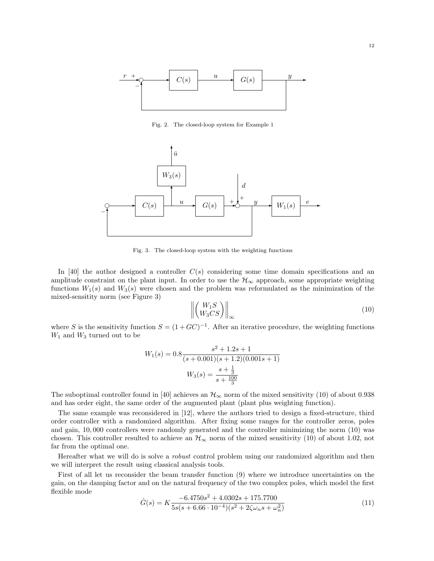

Fig. 2. The closed-loop system for Example 1



Fig. 3. The closed-loop system with the weighting functions

In [40] the author designed a controller  $C(s)$  considering some time domain specifications and an amplitude constraint on the plant input. In order to use the  $\mathcal{H}_{\infty}$  approach, some appropriate weighting functions  $W_1(s)$  and  $W_3(s)$  were chosen and the problem was reformulated as the minimization of the mixed-sensitity norm (see Figure 3) °  $\overline{a}$ 

$$
\left\| \begin{pmatrix} W_1 S \\ W_3 C S \end{pmatrix} \right\|_{\infty} \tag{10}
$$

where S is the sensitivity function  $S = (1 + GC)^{-1}$ . After an iterative procedure, the weighting functions  $W_1$  and  $W_3$  turned out to be

$$
W_1(s) = 0.8 \frac{s^2 + 1.2s + 1}{(s + 0.001)(s + 1.2)(0.001s + 1)}
$$

$$
W_3(s) = \frac{s + \frac{1}{3}}{s + \frac{100}{3}}
$$

The suboptimal controller found in [40] achieves an  $\mathcal{H}_{\infty}$  norm of the mixed sensitivity (10) of about 0.938 and has order eight, the same order of the augmented plant (plant plus weighting function).

The same example was reconsidered in [12], where the authors tried to design a fixed-structure, third order controller with a randomized algorithm. After fixing some ranges for the controller zeros, poles and gain, 10, 000 controllers were randomly generated and the controller minimizing the norm (10) was chosen. This controller resulted to achieve an  $\mathcal{H}_{\infty}$  norm of the mixed sensitivity (10) of about 1.02, not far from the optimal one.

Hereafter what we will do is solve a *robust* control problem using our randomized algorithm and then we will interpret the result using classical analysis tools.

First of all let us reconsider the beam transfer function (9) where we introduce uncertainties on the gain, on the damping factor and on the natural frequency of the two complex poles, which model the first flexible mode

$$
\hat{G}(s) = K \frac{-6.4750s^2 + 4.0302s + 175.7700}{5s(s + 6.66 \cdot 10^{-4})(s^2 + 2\zeta\omega_n s + \omega_n^2)}
$$
(11)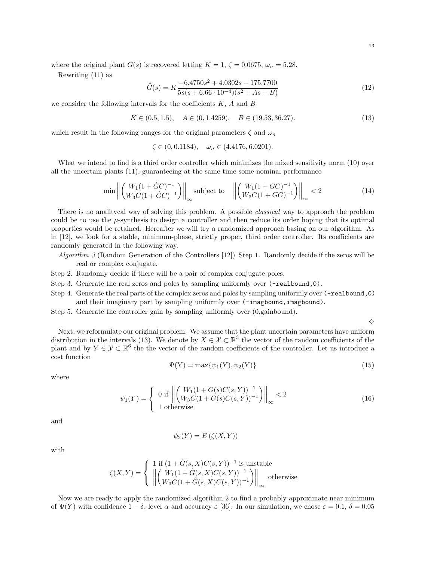where the original plant  $G(s)$  is recovered letting  $K = 1, \zeta = 0.0675, \omega_n = 5.28$ .

Rewriting (11) as

$$
\hat{G}(s) = K \frac{-6.4750s^2 + 4.0302s + 175.7700}{5s(s + 6.66 \cdot 10^{-4})(s^2 + As + B)}
$$
(12)

we consider the following intervals for the coefficients  $K$ ,  $A$  and  $B$ 

$$
K \in (0.5, 1.5), \quad A \in (0, 1.4259), \quad B \in (19.53, 36.27). \tag{13}
$$

which result in the following ranges for the original parameters  $\zeta$  and  $\omega_n$ 

 $\zeta \in (0, 0.1184), \quad \omega_n \in (4.4176, 6.0201).$ 

What we intend to find is a third order controller which minimizes the mixed sensitivity norm  $(10)$  over all the uncertain plants (11), guaranteeing at the same time some nominal performance

$$
\min \left\| \left( \frac{W_1(1+\hat{G}C)^{-1}}{W_3C(1+\hat{G}C)^{-1}} \right) \right\|_{\infty} \text{subject to} \quad \left\| \left( \frac{W_1(1+GC)^{-1}}{W_3C(1+GC)^{-1}} \right) \right\|_{\infty} < 2 \tag{14}
$$

There is no analitycal way of solving this problem. A possible *classical* way to approach the problem could be to use the  $\mu$ -synthesis to design a controller and then reduce its order hoping that its optimal properties would be retained. Hereafter we will try a randomized approach basing on our algorithm. As in [12], we look for a stable, minimum-phase, strictly proper, third order controller. Its coefficients are randomly generated in the following way.

- Algorithm 3 (Random Generation of the Controllers [12]) Step 1. Randomly decide if the zeros will be real or complex conjugate.
- Step 2. Randomly decide if there will be a pair of complex conjugate poles.
- Step 3. Generate the real zeros and poles by sampling uniformly over  $(-\text{realbound},0)$ .
- Step 4. Generate the real parts of the complex zeros and poles by sampling uniformly over (-realbound,0) and their imaginary part by sampling uniformly over (-imagbound, imagbound).
- Step 5. Generate the controller gain by sampling uniformly over (0,gainbound).

 $\Diamond$ 

Next, we reformulate our original problem. We assume that the plant uncertain parameters have uniform distribution in the intervals (13). We denote by  $X \in \mathcal{X} \subset \mathbb{R}^3$  the vector of the random coefficients of the plant and by  $Y \in \mathcal{Y} \subset \mathbb{R}^6$  the the vector of the random coefficients of the controller. Let us introduce a cost function

$$
\Psi(Y) = \max\{\psi_1(Y), \psi_2(Y)\}\tag{15}
$$

where

$$
\psi_1(Y) = \begin{cases} 0 \text{ if } \left\| \begin{pmatrix} W_1(1+G(s)C(s,Y))^{-1} \\ W_3C(1+G(s)C(s,Y))^{-1} \end{pmatrix} \right\|_{\infty} < 2\\ 1 \text{ otherwise} \end{cases} \tag{16}
$$

and

$$
\psi_2(Y) = E(\zeta(X, Y))
$$

with

$$
\zeta(X,Y) = \begin{cases}\n1 \text{ if } (1 + \hat{G}(s,X)C(s,Y))^{-1} \text{ is unstable} \\
\left\| \begin{pmatrix} W_1(1 + \hat{G}(s,X)C(s,Y))^{-1} \\ W_3C(1 + \hat{G}(s,X)C(s,Y))^{-1} \end{pmatrix} \right\|_{\infty} \text{ otherwise}\n\end{cases}
$$

Now we are ready to apply the randomized algorithm 2 to find a probably approximate near minimum of  $\Psi(Y)$  with confidence  $1 - \delta$ , level  $\alpha$  and accuracy  $\varepsilon$  [36]. In our simulation, we chose  $\varepsilon = 0.1$ ,  $\delta = 0.05$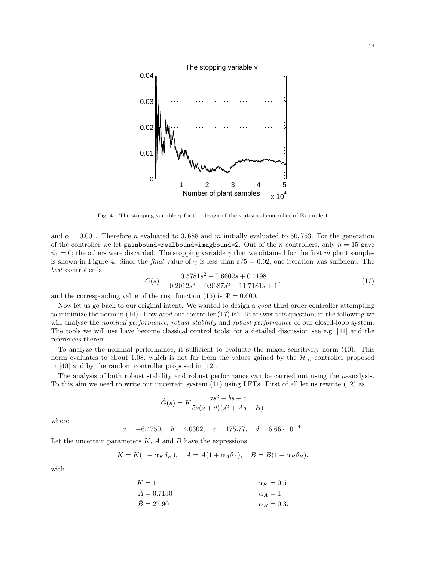

Fig. 4. The stopping variable  $\gamma$  for the design of the statistical controller of Example 1

and  $\alpha = 0.001$ . Therefore n evaluated to 3,688 and m initially evaluated to 50,753. For the generation of the controller we let gainbound=realbound=imagbound=2. Out of the n controllers, only  $\hat{n} = 15$  gave  $\psi_1 = 0$ ; the others were discarded. The stopping variable  $\gamma$  that we obtained for the first m plant samples is shown in Figure 4. Since the *final* value of  $\gamma$  is less than  $\varepsilon/5 = 0.02$ , one iteration was sufficient. The best controller is

$$
C(s) = \frac{0.5781s^2 + 0.6602s + 0.1198}{0.2012s^3 + 0.9687s^2 + 11.7181s + 1}.
$$
\n(17)

and the corresponding value of the cost function (15) is  $\Psi = 0.600$ .

Now let us go back to our original intent. We wanted to design a good third order controller attempting to minimize the norm in (14). How good our controller (17) is? To answer this question, in the following we will analyse the nominal performance, robust stability and robust performance of our closed-loop system. The tools we will use have become classical control tools; for a detailed discussion see e.g. [41] and the references therein.

To analyze the nominal performance, it sufficient to evaluate the mixed sensitivity norm (10). This norm evaluates to about 1.08, which is not far from the values gained by the  $H_{\infty}$  controller proposed in [40] and by the random controller proposed in [12].

The analysis of both robust stability and robust performance can be carried out using the  $\mu$ -analysis. To this aim we need to write our uncertain system (11) using LFTs. First of all let us rewrite (12) as

$$
\hat{G}(s) = K \frac{as^2 + bs + c}{5s(s+d)(s^2 + As + B)}
$$

where

$$
a = -6.4750
$$
,  $b = 4.0302$ ,  $c = 175.77$ ,  $d = 6.66 \cdot 10^{-4}$ .

Let the uncertain parameters  $K$ ,  $A$  and  $B$  have the expressions

$$
K=\bar K(1+\alpha_K\delta_K),\quad A=\bar A(1+\alpha_A\delta_A),\quad B=\bar B(1+\alpha_B\delta_B).
$$

with

$$
\begin{aligned}\n\bar{K} &= 1 & \alpha_K &= 0.5\\
\bar{A} &= 0.7130 & \alpha_A &= 1\\
\bar{B} &= 27.90 & \alpha_B &= 0.3.\n\end{aligned}
$$

14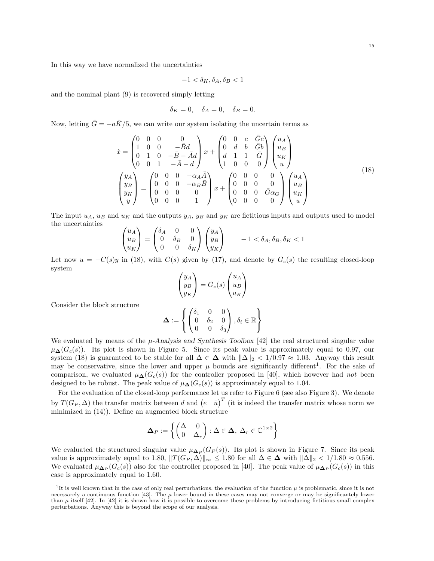In this way we have normalized the uncertainties

$$
-1<\delta_K,\delta_A,\delta_B<1
$$

and the nominal plant (9) is recovered simply letting

$$
\delta_K = 0, \quad \delta_A = 0, \quad \delta_B = 0.
$$

Now, letting  $\bar{G} = -a\bar{K}/5$ , we can write our system isolating the uncertain terms as

$$
\dot{x} = \begin{pmatrix}\n0 & 0 & 0 & 0 \\
1 & 0 & 0 & -\bar{B}d \\
0 & 1 & 0 & -\bar{B} - \bar{A}d \\
0 & 0 & 1 & -\bar{A} - d\n\end{pmatrix} x + \begin{pmatrix}\n0 & 0 & c & \bar{G}c \\
0 & d & b & \bar{G}b \\
d & 1 & 1 & \bar{G} \\
1 & 0 & 0 & 0\n\end{pmatrix} \begin{pmatrix}\nu_A \\
u_B \\
u_K \\
u\n\end{pmatrix}
$$
\n
$$
\begin{pmatrix}\ny_A \\
y_B \\
y_K \\
y\n\end{pmatrix} = \begin{pmatrix}\n0 & 0 & 0 & -\alpha_A \bar{A} \\
0 & 0 & 0 & -\alpha_B \bar{B} \\
0 & 0 & 0 & 0 \\
0 & 0 & 0 & 1\n\end{pmatrix} x + \begin{pmatrix}\n0 & 0 & 0 & 0 \\
0 & 0 & 0 & 0 \\
0 & 0 & 0 & \bar{G}\alpha_G \\
0 & 0 & 0 & 0\n\end{pmatrix} \begin{pmatrix}\nu_A \\
u_B \\
u_B \\
u_K \\
u\end{pmatrix}
$$
\n(18)

 $\mathbf{r}$  $\mathcal{L}$  $\sqrt{ }$ 

The input  $u_A$ ,  $u_B$  and  $u_K$  and the outputs  $y_A$ ,  $y_B$  and  $y_K$  are fictitious inputs and outputs used to model the uncertainties  $\overline{\phantom{a}}$  $\sim$   $\sim$  $\sqrt{2}$  $\mathbf{r}$ 

$$
\begin{pmatrix} u_A \\ u_B \\ u_K \end{pmatrix} = \begin{pmatrix} \delta_A & 0 & 0 \\ 0 & \delta_B & 0 \\ 0 & 0 & \delta_K \end{pmatrix} \begin{pmatrix} y_A \\ y_B \\ y_K \end{pmatrix} \qquad -1 < \delta_A, \delta_B, \delta_K < 1
$$

Let now  $u = -C(s)y$  in (18), with  $C(s)$  given by (17), and denote by  $G_c(s)$  the resulting closed-loop system  $\overline{\phantom{a}}$  $\mathbf{r}$  $\overline{\phantom{a}}$  $\mathbf{r}$ 

$$
\begin{pmatrix} y_A \\ y_B \\ y_K \end{pmatrix} = G_c(s) \begin{pmatrix} u_A \\ u_B \\ u_K \end{pmatrix}
$$

$$
\Delta := \begin{cases} \begin{pmatrix} \delta_1 & 0 & 0 \\ 0 & \delta_2 & 0 \end{pmatrix}, \delta_i \in \mathbb{R} \end{cases}
$$

 $\mathcal{L}$ 

Consider the block structure

We evaluated by means of the 
$$
\mu
$$
-Analysis and Synthesis Toolbox [42] the real structured singular value  $\mu_{\Delta}(G_c(s))$ . Its plot is shown in Figure 5. Since its peak value is approximately equal to 0.97, our system (18) is guaranteed to be stable for all  $\Delta \in \Delta$  with  $\|\Delta\|_2 < 1/0.97 \approx 1.03$ . Anyway this result may be conservative, since the lower and upper  $\mu$  bounds are significantly different<sup>1</sup>. For the sake of comparison, we evaluated  $\mu_{\Delta}(G_c(s))$  for the controller proposed in [40], which however had *not* been designed to be robust. The peak value of  $\mu_{\Delta}(G_c(s))$  is approximately equal to 1.04.

 $0 \quad 0 \quad \delta_3$ 

For the evaluation of the closed-loop performance let us refer to Figure 6 (see also Figure 3). We denote by  $T(G_P, \Delta)$  the transfer matrix between d and  $(e \bar{u})^T$  (it is indeed the transfer matrix whose norm we by  $T(G_P, \Delta)$ minimized in (14)). Define an augmented block structure

$$
\mathbf{\Delta}_{P} := \left\{ \begin{pmatrix} \Delta & 0 \\ 0 & \Delta_{r} \end{pmatrix} : \Delta \in \mathbf{\Delta}, \ \Delta_{r} \in \mathbb{C}^{1 \times 2} \right\}
$$

We evaluated the structured singular value  $\mu_{\mathbf{\Delta}_P}(G_P(s))$ . Its plot is shown in Figure 7. Since its peak value is approximately equal to 1.80,  $||T(G_P, \Delta)||_{\infty} \le 1.80$  for all  $\Delta \in \Delta$  with  $||\Delta||_2 < 1/1.80 \approx 0.556$ . We evaluated  $\mu_{\mathbf{\Delta}_P}(G_c(s))$  also for the controller proposed in [40]. The peak value of  $\mu_{\mathbf{\Delta}_P}(G_c(s))$  in this case is approximately equal to 1.60.

<sup>&</sup>lt;sup>1</sup>It is well known that in the case of only real perturbations, the evaluation of the function  $\mu$  is problematic, since it is not necessarely a continuous function [43]. The  $\mu$  lower bound in these cases may not converge or may be significantely lower than  $\mu$  itself [42]. In [42] it is shown how it is possible to overcome these problems by introducing fictitious small complex perturbations. Anyway this is beyond the scope of our analysis.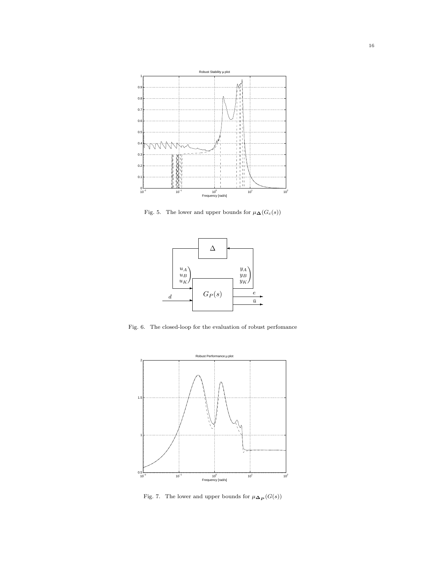

Fig. 5. The lower and upper bounds for  $\mu_{\mathbf{\Delta}}(G_c(s))$ 



Fig. 6. The closed-loop for the evaluation of robust perfomance



Fig. 7. The lower and upper bounds for  $\mu_{\mathbf{\Delta}_{\mathbf{P}}}(G(s))$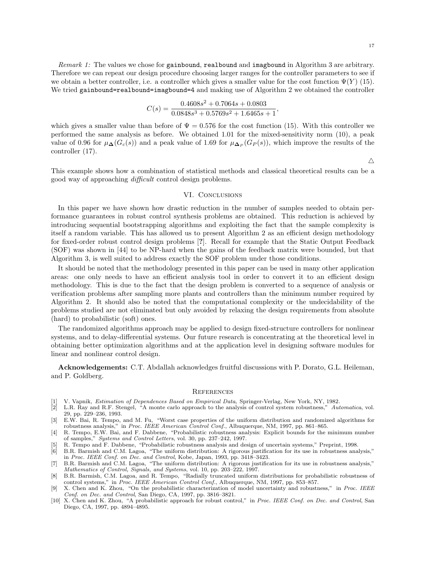Remark 1: The values we chose for gainbound, realbound and imagbound in Algorithm 3 are arbitrary. Therefore we can repeat our design procedure choosing larger ranges for the controller parameters to see if we obtain a better controller, i.e. a controller which gives a smaller value for the cost function  $\Psi(Y)$  (15). We tried gainbound=realbound=imagbound=4 and making use of Algorithm 2 we obtained the controller

$$
C(s)=\frac{0.4608 s^2+0.7064 s+0.0803}{0.0848 s^3+0.5769 s^2+1.6465 s+1},
$$

which gives a smaller value than before of  $\Psi = 0.576$  for the cost function (15). With this controller we performed the same analysis as before. We obtained 1.01 for the mixed-sensitivity norm (10), a peak value of 0.96 for  $\mu_{\mathbf{\Delta}}(G_c(s))$  and a peak value of 1.69 for  $\mu_{\mathbf{\Delta}_P}(G_P(s))$ , which improve the results of the controller (17).

 $\triangle$ 

This example shows how a combination of statistical methods and classical theoretical results can be a good way of approaching difficult control design problems.

#### VI. Conclusions

In this paper we have shown how drastic reduction in the number of samples needed to obtain performance guarantees in robust control synthesis problems are obtained. This reduction is achieved by introducing sequential bootstrapping algorithms and exploiting the fact that the sample complexity is itself a random variable. This has allowed us to present Algorithm 2 as an efficient design methodology for fixed-order robust control design problems [?]. Recall for example that the Static Output Feedback (SOF) was shown in [44] to be NP-hard when the gains of the feedback matrix were bounded, but that Algorithm 3, is well suited to address exactly the SOF problem under those conditions.

It should be noted that the methodology presented in this paper can be used in many other application areas: one only needs to have an efficient analysis tool in order to convert it to an efficient design methodology. This is due to the fact that the design problem is converted to a sequence of analysis or verification problems after sampling more plants and controllers than the minimum number required by Algorithm 2. It should also be noted that the computational complexity or the undecidability of the problems studied are not eliminated but only avoided by relaxing the design requirements from absolute (hard) to probabilistic (soft) ones.

The randomized algorithms approach may be applied to design fixed-structure controllers for nonlinear systems, and to delay-differential systems. Our future research is concentrating at the theoretical level in obtaining better optimization algorithms and at the application level in designing software modules for linear and nonlinear control design.

Acknowledgements: C.T. Abdallah acknowledges fruitful discussions with P. Dorato, G.L. Heileman, and P. Goldberg.

#### **REFERENCES**

- [1] V. Vapnik, Estimation of Dependences Based on Empirical Data, Springer-Verlag, New York, NY, 1982.
- L.R. Ray and R.F. Stengel, "A monte carlo approach to the analysis of control system robustness," Automatica, vol. 29, pp. 229–236, 1993.
- [3] E.W. Bai, R. Tempo, and M. Fu, "Worst case properties of the uniform distribution and randomized algorithms for robustness analysis," in Proc. IEEE American Control Conf., Albuquerque, NM, 1997, pp. 861–865.
- [4] R. Tempo, E.W. Bai, and F. Dabbene, "Probabilistic robustness analysis: Explicit bounds for the minimum number of samples," Systems and Control Letters, vol. 30, pp. 237–242, 1997.
- [5] R. Tempo and F. Dabbene, "Probabilistic robustness analysis and design of uncertain systems," Preprint, 1998.
- [6] B.R. Barmish and C.M. Lagoa, "The uniform distribution: A rigorous justification for its use in robustness analysis," in Proc. IEEE Conf. on Dec. and Control, Kobe, Japan, 1993, pp. 3418–3423.
- [7] B.R. Barmish and C.M. Lagoa, "The uniform distribution: A rigorous justification for its use in robustness analysis," Mathematics of Control, Signals, and Systems, vol. 10, pp. 203–222, 1997.
- [8] B.R. Barmish, C.M. Lagoa, and R. Tempo, "Radially truncated uniform distributions for probabilistic robustness of control systems," in Proc. IEEE American Control Conf., Albuquerque, NM, 1997, pp. 853–857.
- [9] X. Chen and K. Zhou, "On the probabilistic characterization of model uncertainty and robustness," in Proc. IEEE Conf. on Dec. and Control, San Diego, CA, 1997, pp. 3816–3821.
- [10] X. Chen and K. Zhou, "A probabilistic approach for robust control," in Proc. IEEE Conf. on Dec. and Control, San Diego, CA, 1997, pp. 4894–4895.